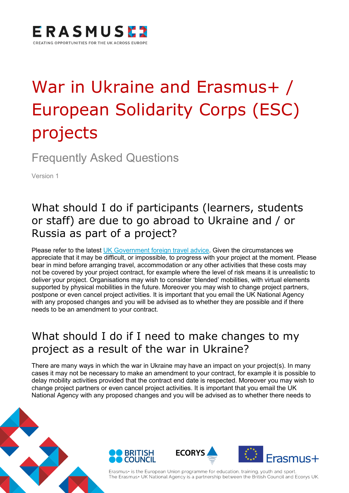

# War in Ukraine and Erasmus+ / European Solidarity Corps (ESC) projects

Frequently Asked Questions

Version 1

## What should I do if participants (learners, students or staff) are due to go abroad to Ukraine and / or Russia as part of a project?

Please refer to the latest [UK Government foreign travel advice.](https://www.gov.uk/foreign-travel-advice) Given the circumstances we appreciate that it may be difficult, or impossible, to progress with your project at the moment. Please bear in mind before arranging travel, accommodation or any other activities that these costs may not be covered by your project contract, for example where the level of risk means it is unrealistic to deliver your project. Organisations may wish to consider 'blended' mobilities, with virtual elements supported by physical mobilities in the future. Moreover you may wish to change project partners, postpone or even cancel project activities. It is important that you email the UK National Agency with any proposed changes and you will be advised as to whether they are possible and if there needs to be an amendment to your contract.

## What should I do if I need to make changes to my project as a result of the war in Ukraine?

There are many ways in which the war in Ukraine may have an impact on your project(s). In many cases it may not be necessary to make an amendment to your contract, for example it is possible to delay mobility activities provided that the contract end date is respected. Moreover you may wish to change project partners or even cancel project activities. It is important that you email the UK National Agency with any proposed changes and you will be advised as to whether there needs to









Erasmus+ is the European Union programme for education, training, youth and sport. The Erasmus+ UK National Agency is a partnership between the British Council and Ecorys UK.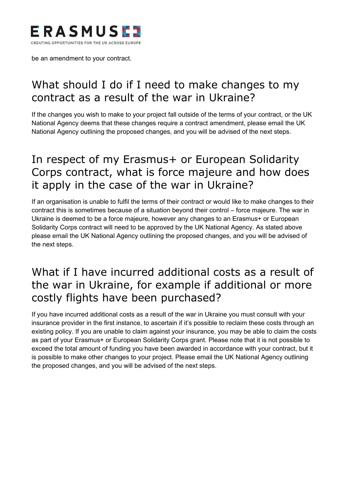

be an amendment to your contract.

## What should I do if I need to make changes to my contract as a result of the war in Ukraine?

If the changes you wish to make to your project fall outside of the terms of your contract, or the UK National Agency deems that these changes require a contract amendment, please email the UK National Agency outlining the proposed changes, and you will be advised of the next steps.

## In respect of my Erasmus+ or European Solidarity Corps contract, what is force majeure and how does it apply in the case of the war in Ukraine?

If an organisation is unable to fulfil the terms of their contract or would like to make changes to their contract this is sometimes because of a situation beyond their control – force majeure. The war in Ukraine is deemed to be a force majeure, however any changes to an Erasmus+ or European Solidarity Corps contract will need to be approved by the UK National Agency. As stated above please email the UK National Agency outlining the proposed changes, and you will be advised of the next steps.

### What if I have incurred additional costs as a result of the war in Ukraine, for example if additional or more costly flights have been purchased?

If you have incurred additional costs as a result of the war in Ukraine you must consult with your insurance provider in the first instance, to ascertain if it's possible to reclaim these costs through an existing policy. If you are unable to claim against your insurance, you may be able to claim the costs as part of your Erasmus+ or European Solidarity Corps grant. Please note that it is not possible to exceed the total amount of funding you have been awarded in accordance with your contract, but it is possible to make other changes to your project. Please email the UK National Agency outlining the proposed changes, and you will be advised of the next steps.